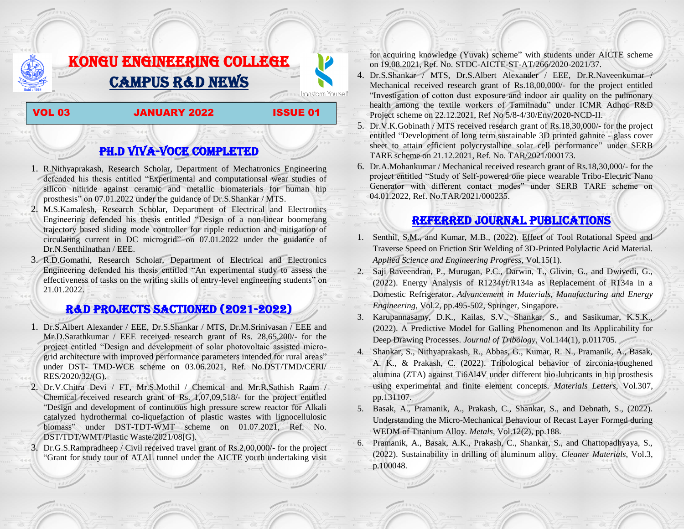# KONGU ENGINEERING COLLEGE CAMPUS R&D NEWS

#### VOL 03 JANUARY 2022 ISSUE 01

**Transform Yourself** 

# PH.D VIVA-VOCE COMPLETED

- 1. R.Nithyaprakash, Research Scholar, Department of Mechatronics Engineering defended his thesis entitled "Experimental and computationsal wear studies of silicon nitiride against ceramic and metallic biomaterials for human hip prosthesis" on 07.01.2022 under the guidance of Dr.S.Shankar / MTS.
- 2. M.S.Kamalesh, Research Scholar, Department of Electrical and Electronics Engineering defended his thesis entitled "Design of a non-linear boomerang trajectory based sliding mode controller for ripple reduction and mitigation of circulating current in DC microgrid" on 07.01.2022 under the guidance of Dr.N.Senthilnathan / EEE.
- 3. R.D.Gomathi, Research Scholar, Department of Electrical and Electronics Engineering defended his thesis entitled "An experimental study to assess the effectiveness of tasks on the writing skills of entry-level engineering students" on 21.01.2022.

### R&D PROJECTS SACTIONED (2021-2022)

- 1. Dr.S.Albert Alexander / EEE, Dr.S.Shankar / MTS, Dr.M.Srinivasan / EEE and Mr.D.Sarathkumar / EEE received research grant of Rs. 28,65,200/- for the project entitled "Design and development of solar photovoltaic assisted microgrid architecture with improved performance parameters intended for rural areas" under DST- TMD-WCE scheme on 03.06.2021, Ref. No.DST/TMD/CERI/ RES/2020/32/(G).
- 2. Dr.V.Chitra Devi / FT, Mr.S.Mothil / Chemical and Mr.R.Sathish Raam / Chemical received research grant of Rs. 1,07,09,518/- for the project entitled ―Design and development of continuous high pressure screw reactor for Alkali catalyzed hydrothermal co-liquefaction of plastic wastes with lignocellulosic biomass" under DST-TDT-WMT scheme on 01.07.2021, Ref. No. DST/TDT/WMT/Plastic Waste/2021/08[G].
- 3. Dr.G.S.Rampradheep / Civil received travel grant of Rs.2,00,000/- for the project "Grant for study tour of ATAL tunnel under the AICTE youth undertaking visit

for acquiring knowledge (Yuvak) scheme" with students under AICTE scheme on 19.08.2021, Ref. No. STDC-AICTE-ST-AT/266/2020-2021/37.

- 4. Dr.S.Shankar / MTS, Dr.S.Albert Alexander / EEE, Dr.R.Naveenkumar / Mechanical received research grant of Rs.18,00,000/- for the project entitled "Investigation of cotton dust exposure and indoor air quality on the pulmonary health among the textile workers of Tamilnadu" under ICMR Adhoc R&D Project scheme on 22.12.2021, Ref No 5/8-4/30/Env/2020-NCD-II.
- 5. Dr.V.K.Gobinath / MTS received research grant of Rs.18,30,000/- for the project entitled "Development of long term sustainable 3D printed gahnite - glass cover sheet to attain efficient polycrystalline solar cell performance" under SERB TARE scheme on 21.12.2021, Ref. No. TAR/2021/000173.
- 6. Dr.A.Mohankumar / Mechanical received research grant of Rs.18,30,000/- for the project entitled "Study of Self-powered one piece wearable Tribo-Electric Nano Generator with different contact modes" under SERB TARE scheme on 04.01.2022, Ref. No.TAR/2021/000235.

## Referred JOURNAL publications

- 1. Senthil, S.M., and Kumar, M.B., (2022). Effect of Tool Rotational Speed and Traverse Speed on Friction Stir Welding of 3D-Printed Polylactic Acid Material. *Applied Science and Engineering Progress*, Vol.15(1).
- 2. Saji Raveendran, P., Murugan, P.C., Darwin, T., Glivin, G., and Dwivedi, G., (2022). Energy Analysis of R1234yf/R134a as Replacement of R134a in a Domestic Refrigerator. *Advancement in Materials, Manufacturing and Energy Engineering*, Vol.2, pp.495-502, Springer, Singapore.
- 3. Karupannasamy, D.K., Kailas, S.V., Shankar, S., and Sasikumar, K.S.K., (2022). A Predictive Model for Galling Phenomenon and Its Applicability for Deep Drawing Processes. *Journal of Tribology*, Vol.144(1), p.011705.
- 4. Shankar, S., Nithyaprakash, R., Abbas, G., Kumar, R. N., Pramanik, A., Basak, A. K., & Prakash, C. (2022). Tribological behavior of zirconia-toughened alumina (ZTA) against Ti6Al4V under different bio-lubricants in hip prosthesis using experimental and finite element concepts. *Materials Letters*, Vol.307, pp.131107.
- 5. Basak, A., Pramanik, A., Prakash, C., Shankar, S., and Debnath, S., (2022). Understanding the Micro-Mechanical Behaviour of Recast Layer Formed during WEDM of Titanium Alloy. *Metals*, Vol.12(2), pp.188.
- 6. Pramanik, A., Basak, A.K., Prakash, C., Shankar, S., and Chattopadhyaya, S., (2022). Sustainability in drilling of aluminum alloy. *Cleaner Materials*, Vol.3, p.100048.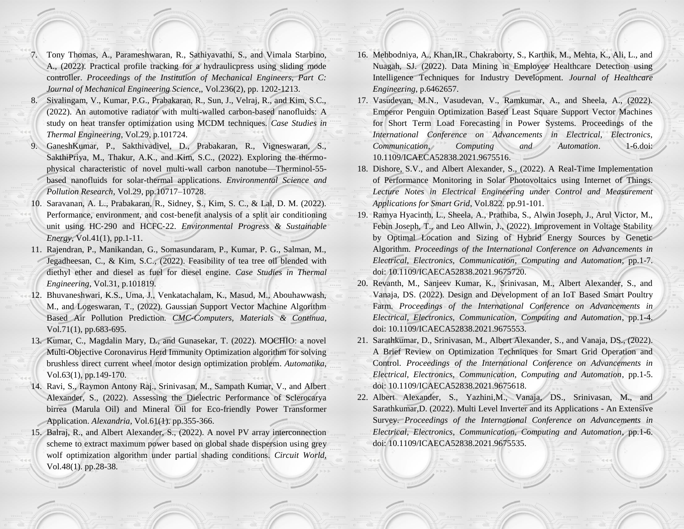- 7. Tony Thomas, A., Parameshwaran, R., Sathiyavathi, S., and Vimala Starbino, A., (2022). Practical profile tracking for a hydraulicpress using sliding mode controller. *Proceedings of the Institution of Mechanical Engineers, Part C: Journal of Mechanical Engineering Science*,, Vol.236(2), pp. 1202-1213.
- 8. Sivalingam, V., Kumar, P.G., Prabakaran, R., Sun, J., Velraj, R., and Kim, S.C., (2022). An automotive radiator with multi-walled carbon-based nanofluids: A study on heat transfer optimization using MCDM techniques. *Case Studies in Thermal Engineering*, Vol.29, p.101724.
- 9. GaneshKumar, P., Sakthivadivel, D., Prabakaran, R., Vigneswaran, S., SakthiPriya, M., Thakur, A.K., and Kim, S.C., (2022). Exploring the thermophysical characteristic of novel multi-wall carbon nanotube—Therminol-55 based nanofluids for solar-thermal applications. *Environmental Science and Pollution Research*, Vol.29, pp.10717–10728.
- 10. Saravanan, A. L., Prabakaran, R., Sidney, S., Kim, S. C., & Lal, D. M. (2022). Performance, environment, and cost-benefit analysis of a split air conditioning unit using HC‐290 and HCFC‐22. *Environmental Progress & Sustainable Energy*, Vol.41(1), pp.1-11.
- 11. Rajendran, P., Manikandan, G., Somasundaram, P., Kumar, P. G., Salman, M., Jegadheesan, C., & Kim, S.C., (2022). Feasibility of tea tree oil blended with diethyl ether and diesel as fuel for diesel engine. *Case Studies in Thermal Engineering*, Vol.31, p.101819.
- 12. Bhuvaneshwari, K.S., Uma, J., Venkatachalam, K., Masud, M., Abouhawwash, M., and Logeswaran, T., (2022). Gaussian Support Vector Machine Algorithm Based Air Pollution Prediction. *CMC-Computers, Materials & Continua*, Vol.71(1), pp.683-695.
- 13. Kumar, C., Magdalin Mary, D., and Gunasekar, T. (2022). MOCHIO: a novel Multi-Objective Coronavirus Herd Immunity Optimization algorithm for solving brushless direct current wheel motor design optimization problem. *Automatika*, Vol.63(1), pp.149-170.
- 14. Ravi, S., Raymon Antony Raj., Srinivasan, M., Sampath Kumar, V., and Albert Alexander, S., (2022). Assessing the Dielectric Performance of Sclerocarya birrea (Marula Oil) and Mineral Oil for Eco-friendly Power Transformer Application. *Alexandria*, Vol.61(1). pp.355-366.
- 15. Balraj, R., and Albert Alexander, S., (2022). A novel PV array interconnection scheme to extract maximum power based on global shade dispersion using grey wolf optimization algorithm under partial shading conditions. *Circuit World*, Vol.48(1). pp.28-38.
- 16. Mehbodniya, A., Khan,IR., Chakraborty, S., Karthik, M., Mehta, K., Ali, L., and Nuagah, SJ. (2022). Data Mining in Employee Healthcare Detection using Intelligence Techniques for Industry Development. *Journal of Healthcare Engineering*, p.6462657.
- 17. Vasudevan, M.N., Vasudevan, V., Ramkumar, A., and Sheela, A., (2022). Emperor Penguin Optimization Based Least Square Support Vector Machines for Short Term Load Forecasting in Power Systems. Proceedings of the *International Conference on Advancements in Electrical, Electronics, Communication*, *Computing and Automation*. 1-6.doi: 10.1109/ICAECA52838.2021.9675516.
- 18. Dishore, S.V., and Albert Alexander, S., (2022). A Real-Time Implementation of Performance Monitoring in Solar Photovoltaics using Internet of Things. *Lecture Notes in Electrical Engineering under Control and Measurement Applications for Smart Grid*, Vol.822. pp.91-101.
- 19. Ramya Hyacinth, L., Sheela, A., Prathiba, S., Alwin Joseph, J., Arul Victor, M., Febin Joseph, T., and Leo Allwin, J., (2022). Improvement in Voltage Stability by Optimal Location and Sizing of Hybrid Energy Sources by Genetic Algorithm. *Proceedings of the International Conference on Advancements in Electrical, Electronics, Communication*, *Computing and Automation*, pp.1-7. doi: 10.1109/ICAECA52838.2021.9675720.
- 20. Revanth, M., Sanjeev Kumar, K., Srinivasan, M., Albert Alexander, S., and Vanaja, DS. (2022). Design and Development of an IoT Based Smart Poultry Farm. *Proceedings of the International Conference on Advancements in Electrical, Electronics, Communication, Computing and Automation*, pp.1-4. doi: 10.1109/ICAECA52838.2021.9675553.
- 21. Sarathkumar, D., Srinivasan, M., Albert Alexander, S., and Vanaja, DS., (2022). A Brief Review on Optimization Techniques for Smart Grid Operation and Control. *Proceedings of the International Conference on Advancements in Electrical, Electronics, Communication, Computing and Automation*, pp.1-5. doi: 10.1109/ICAECA52838.2021.9675618.
- 22. Albert Alexander, S., Yazhini,M., Vanaja, DS., Srinivasan, M., and Sarathkumar,D. (2022). Multi Level Inverter and its Applications - An Extensive Survey. *Proceedings of the International Conference on Advancements in Electrical, Electronics, Communication, Computing and Automation*, pp.1-6. doi: 10.1109/ICAECA52838.2021.9675535.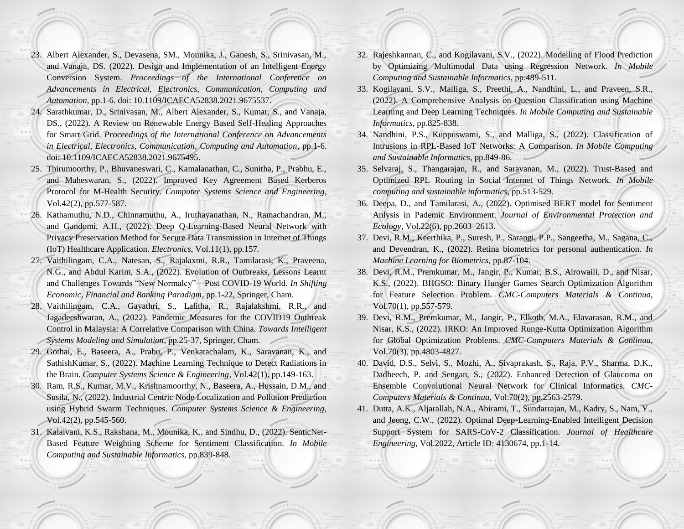- 23. Albert Alexander, S., Devasena, SM., Mounika, J., Ganesh, S., Srinivasan, M., and Vanaja, DS. (2022). Design and Implementation of an Intelligent Energy Conversion System. *Proceedings of the International Conference on Advancements in Electrical, Electronics, Communication, Computing and Automation*, pp.1-6. doi: 10.1109/ICAECA52838.2021.9675537.
- 24. Sarathkumar, D., Srinivasan, M., Albert Alexander, S., Kumar, S., and Vanaja, DS., (2022). A Review on Renewable Energy Based Self-Healing Approaches for Smart Grid. *Proceedings of the International Conference on Advancements in Electrical, Electronics, Communication, Computing and Automation*, pp.1-6. doi: 10.1109/ICAECA52838.2021.9675495.
- 25. Thirumoorthy, P., Bhuvaneswari, C., Kamalanathan, C., Sunitha, P., Prabhu, E., and Maheswaran, S., (2022). Improved Key Agreement Based Kerberos Protocol for M-Health Security. *Computer Systems Science and Engineering*, Vol.42(2), pp.577-587.
- 26. Kathamuthu, N.D., Chinnamuthu, A., Iruthayanathan, N., Ramachandran, M., and Gandomi, A.H., (2022). Deep Q-Learning-Based Neural Network with Privacy Preservation Method for Secure Data Transmission in Internet of Things (IoT) Healthcare Application. *Electronics*, Vol.11(1), pp.157.
- 27. Vaithilingam, C.A., Natesan, S., Rajalaxmi, R.R., Tamilarasi, K., Praveena, N.G., and Abdul Karim, S.A., (2022). Evolution of Outbreaks, Lessons Learnt and Challenges Towards "New Normalcy"—Post COVID-19 World. *In Shifting Economic, Financial and Banking Paradigm*, pp.1-22, Springer, Cham.
- 28. Vaithilingam, C.A., Gayathri, S., Lalitha, R., Rajalakshmi, R.R., and Jagadeeshwaran, A., (2022). Pandemic Measures for the COVID19 Outbreak Control in Malaysia: A Correlative Comparison with China. *Towards Intelligent Systems Modeling and Simulation*, pp.25-37, Springer, Cham.
- 29. Gothai, E., Baseera, A., Prabu, P., Venkatachalam, K., Saravanan, K., and SathishKumar, S., (2022). Machine Learning Technique to Detect Radiations in the Brain. *Computer Systems Science & Engineering*, Vol.42(1), pp.149-163.
- 30. Ram, R.S., Kumar, M.V., Krishnamoorthy, N., Baseera, A., Hussain, D.M., and Susila, N., (2022). Industrial Centric Node Localization and Pollution Prediction using Hybrid Swarm Techniques. *Computer Systems Science & Engineering*, Vol.42(2), pp.545-560.
- 31. Kalaivani, K.S., Rakshana, M., Mounika, K., and Sindhu, D., (2022). SenticNet-Based Feature Weighting Scheme for Sentiment Classification. *In Mobile Computing and Sustainable Informatics*, pp.839-848.
- 32. Rajeshkannan, C., and Kogilavani, S.V., (2022). Modelling of Flood Prediction by Optimizing Multimodal Data using Regression Network. *In Mobile Computing and Sustainable Informatics*, pp.489-511.
- 33. Kogilavani, S.V., Malliga, S., Preethi, A., Nandhini, L., and Praveen, S.R., (2022). A Comprehensive Analysis on Question Classification using Machine Learning and Deep Learning Techniques. *In Mobile Computing and Sustainable Informatics*, pp.825-838.
- 34. Nandhini, P.S., Kuppuswami, S., and Malliga, S., (2022). Classification of Intrusions in RPL-Based IoT Networks: A Comparison. *In Mobile Computing and Sustainable Informatics*, pp.849-86.
- 35. Selvaraj, S., Thangarajan, R., and Saravanan, M., (2022). Trust-Based and Optimized RPL Routing in Social Internet of Things Network. *In Mobile computing and sustainable informatics*, pp.513-529.
- 36. Deepa, D., and Tamilarasi, A., (2022). Optimised BERT model for Sentiment Anlysis in Pademic Environment. *Journal of Environmental Protection and Ecology*, Vol.22(6), pp.2603–2613.
- 37. Devi, R.M., Keerthika, P., Suresh, P., Sarangi, P.P., Sangeetha, M., Sagana, C., and Devendran, K., (2022). Retina biometrics for personal authentication. *In Machine Learning for Biometrics*, pp.87-104.
- 38. Devi, R.M., Premkumar, M., Jangir, P., Kumar, B.S., Alrowaili, D., and Nisar, K.S., (2022). BHGSO: Binary Hunger Games Search Optimization Algorithm for Feature Selection Problem. *CMC-Computers Materials & Continua*, Vol.70(1), pp.557-579.
- 39. Devi, R.M., Premkumar, M., Jangir, P., Elkotb, M.A., Elavarasan, R.M., and Nisar, K.S., (2022). IRKO: An Improved Runge-Kutta Optimization Algorithm for Global Optimization Problems. *CMC-Computers Materials & Continua*, Vol.70(3), pp.4803-4827.
- 40. David, D.S., Selvi, S., Mozhi, A., Sivaprakash, S., Raja, P.V., Sharma, D.K., Dadheech, P. and Sengan, S., (2022). Enhanced Detection of Glaucoma on Ensemble Convolutional Neural Network for Clinical Informatics. *CMC-Computers Materials & Continua*, Vol.70(2), pp.2563-2579.
- 41. Dutta, A.K., Aljarallah, N.A., Abirami, T., Sundarrajan, M., Kadry, S., Nam, Y., and Jeong, C.W., (2022). Optimal Deep-Learning-Enabled Intelligent Decision Support System for SARS-CoV-2 Classification. *Journal of Healthcare Engineering*, Vol.2022, Article ID: 4130674, pp.1-14.